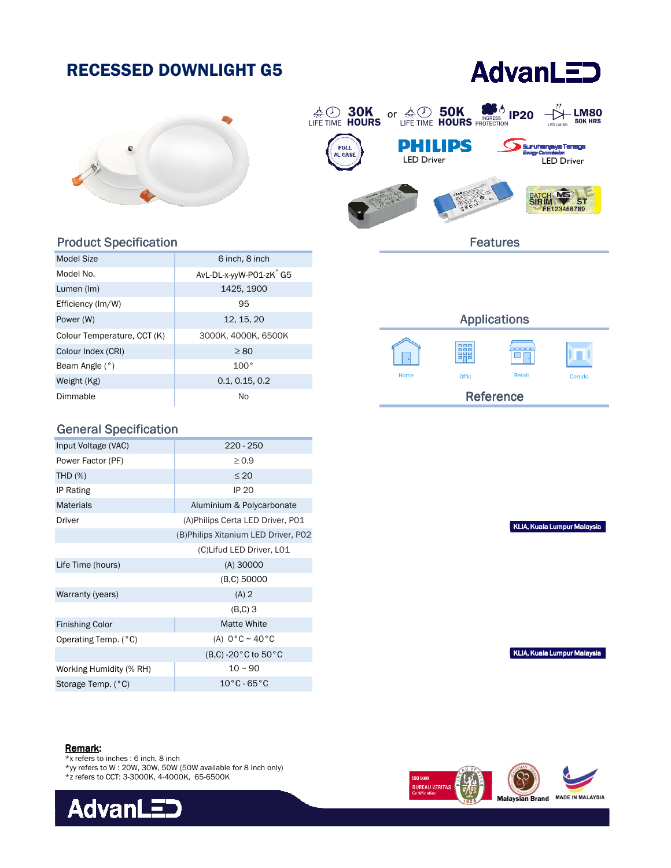# RECESSED DOWNLIGHT G5

# **AdvanLED**





#### Product Specification

| Model Size                  | 6 inch, 8 inch                      |
|-----------------------------|-------------------------------------|
| Model No.                   | AvL-DL-x-yyW-P01-zK <sup>*</sup> G5 |
| Lumen (Im)                  | 1425, 1900                          |
| Efficiency (Im/W)           | 95                                  |
| Power (W)                   | 12, 15, 20                          |
| Colour Temperature, CCT (K) | 3000К, 4000К, 6500К                 |
| Colour Index (CRI)          | $\geq 80$                           |
| Beam Angle (°)              | 100°                                |
| Weight (Kg)                 | 0.1, 0.15, 0.2                      |
| Dimmable                    | Nο                                  |

### General Specification

| Input Voltage (VAC)     | 220 - 250                            |  |
|-------------------------|--------------------------------------|--|
|                         |                                      |  |
| Power Factor (PF)       | $\geq 0.9$                           |  |
| <b>THD (%)</b>          | $\leq 20$                            |  |
| IP Rating               | <b>IP 20</b>                         |  |
| <b>Materials</b>        | Aluminium & Polycarbonate            |  |
| Driver                  | (A) Philips Certa LED Driver, P01    |  |
|                         | (B) Philips Xitanium LED Driver, P02 |  |
|                         | (C)Lifud LED Driver, L01             |  |
| Life Time (hours)       | $(A)$ 30000                          |  |
|                         | (B,C) 50000                          |  |
| Warranty (years)        | $(A)$ 2                              |  |
|                         | $(B,C)$ 3                            |  |
| <b>Finishing Color</b>  | Matte White                          |  |
| Operating Temp. (°C)    | (A) $0^{\circ}$ C ~ 40 $^{\circ}$ C  |  |
|                         | (B,C) -20 °C to 50 °C                |  |
| Working Humidity (% RH) | $10 - 90$                            |  |
| Storage Temp. (°C)      | $10^{\circ}$ C - 65 $^{\circ}$ C     |  |

## Applications 睸 Offic Offic Retail Corrido Reference

KLIA, Kuala Lumpur Malaysia

KLIA, Kuala Lumpur Malaysia

#### Remark:

- \*x refers to inches : 6 inch, 8 inch
- \*yy refers to W : 20W, 30W, 50W (50W available for 8 Inch only)
- \*z refers to CCT: 3-3000K, 4-4000K, 65-6500K





Features